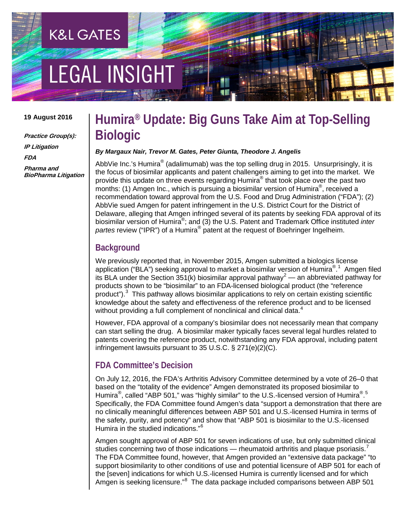# **EGAL INSIGHT**

**K&L GATES** 

#### **19 August 2016**

**Practice Group(s): IP Litigation FDA Pharma and BioPharma Litigation**

### **Humira® Update: Big Guns Take Aim at Top-Selling Biologic**

#### *By Margaux Nair, Trevor M. Gates, Peter Giunta, Theodore J. Angelis*

AbbVie Inc.'s Humira<sup>®</sup> (adalimumab) was the top selling drug in 2015. Unsurprisingly, it is the focus of biosimilar applicants and patent challengers aiming to get into the market. We provide this update on three events regarding Humira<sup>®</sup> that took place over the past two months: (1) Amgen Inc., which is pursuing a biosimilar version of Humira®, received a recommendation toward approval from the U.S. Food and Drug Administration ("FDA"); (2) AbbVie sued Amgen for patent infringement in the U.S. District Court for the District of Delaware, alleging that Amgen infringed several of its patents by seeking FDA approval of its biosimilar version of Humira®; and (3) the U.S. Patent and Trademark Office instituted *inter partes* review ("IPR") of a Humira® patent at the request of Boehringer Ingelheim.

#### **Background**

We previously reported that, in November 2015, Amgen submitted a biologics license application ("BLA") seeking approval to market a biosimilar version of Humira®.<sup>[1](#page-3-0)</sup> Amgen filed its BLA under the Section 351(k) biosimilar approval pathway<sup>[2](#page-3-1)</sup> — an abbreviated pathway for products shown to be "biosimilar" to an FDA-licensed biological product (the "reference product").<sup>[3](#page-3-2)</sup> This pathway allows biosimilar applications to rely on certain existing scientific knowledge about the safety and effectiveness of the reference product and to be licensed without providing a full complement of nonclinical and clinical data.<sup>[4](#page-3-3)</sup>

However, FDA approval of a company's biosimilar does not necessarily mean that company can start selling the drug. A biosimilar maker typically faces several legal hurdles related to patents covering the reference product, notwithstanding any FDA approval, including patent infringement lawsuits pursuant to 35 U.S.C. § 271(e)(2)(C).

#### **FDA Committee's Decision**

On July 12, 2016, the FDA's Arthritis Advisory Committee determined by a vote of 26–0 that based on the "totality of the evidence" Amgen demonstrated its proposed biosimilar to Humira<sup>®</sup>, called "ABP [5](#page-3-4)01," was "highly similar" to the U.S.-licensed version of Humira®.<sup>5</sup> Specifically, the FDA Committee found Amgen's data "support a demonstration that there are no clinically meaningful differences between ABP 501 and U.S.-licensed Humira in terms of the safety, purity, and potency" and show that "ABP 501 is biosimilar to the U.S.-licensed Humira in the studied indications."[6](#page-3-5)

Amgen sought approval of ABP 501 for seven indications of use, but only submitted clinical studies concerning two of those indications — rheumatoid arthritis and plaque psoriasis.<sup>[7](#page-3-6)</sup> The FDA Committee found, however, that Amgen provided an "extensive data package" "to support biosimilarity to other conditions of use and potential licensure of ABP 501 for each of the [seven] indications for which U.S.-licensed Humira is currently licensed and for which Amgen is seeking licensure."<sup>[8](#page-3-7)</sup> The data package included comparisons between ABP 501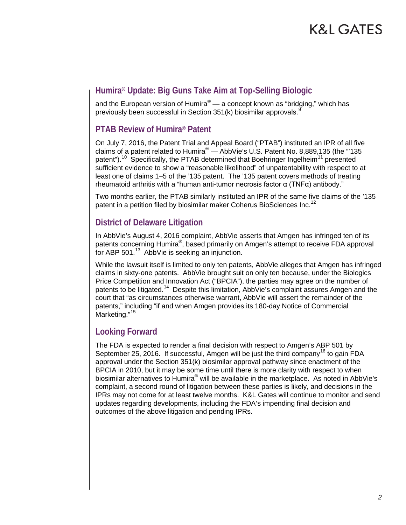## K&L GATES

### **Humira® Update: Big Guns Take Aim at Top-Selling Biologic**

and the European version of Humira<sup>®</sup> — a concept known as "bridging," which has previously been successful in Section 351(k) biosimilar approvals.<sup>[9](#page-3-8)</sup>

#### **PTAB Review of Humira® Patent**

On July 7, 2016, the Patent Trial and Appeal Board ("PTAB") instituted an IPR of all five claims of a patent related to Humira® — AbbVie's U.S. Patent No. 8,889,135 (the "'135 patent").<sup>[10](#page-3-9)</sup> Specifically, the PTAB determined that Boehringer Ingelheim<sup>[11](#page-3-10)</sup> presented sufficient evidence to show a "reasonable likelihood" of unpatentability with respect to at least one of claims 1–5 of the '135 patent. The '135 patent covers methods of treating rheumatoid arthritis with a "human anti-tumor necrosis factor α (TNFα) antibody."

Two months earlier, the PTAB similarly instituted an IPR of the same five claims of the '135 patent in a petition filed by biosimilar maker Coherus BioSciences Inc.<sup>[12](#page-3-11)</sup>

#### **District of Delaware Litigation**

In AbbVie's August 4, 2016 complaint, AbbVie asserts that Amgen has infringed ten of its patents concerning Humira®, based primarily on Amgen's attempt to receive FDA approval for ABP 501.<sup>13</sup> AbbVie is seeking an injunction.

While the lawsuit itself is limited to only ten patents, AbbVie alleges that Amgen has infringed claims in sixty-one patents. AbbVie brought suit on only ten because, under the Biologics Price Competition and Innovation Act ("BPCIA"), the parties may agree on the number of patents to be litigated.<sup>14</sup> Despite this limitation, AbbVie's complaint assures Amgen and the court that "as circumstances otherwise warrant, AbbVie will assert the remainder of the patents," including "if and when Amgen provides its 180-day Notice of Commercial Marketing."<sup>[15](#page-3-14)</sup>

#### **Looking Forward**

The FDA is expected to render a final decision with respect to Amgen's ABP 501 by September 25, 20[16](#page-3-15). If successful, Amgen will be just the third company<sup>16</sup> to gain FDA approval under the Section 351(k) biosimilar approval pathway since enactment of the BPCIA in 2010, but it may be some time until there is more clarity with respect to when biosimilar alternatives to Humira® will be available in the marketplace. As noted in AbbVie's complaint, a second round of litigation between these parties is likely, and decisions in the IPRs may not come for at least twelve months. K&L Gates will continue to monitor and send updates regarding developments, including the FDA's impending final decision and outcomes of the above litigation and pending IPRs.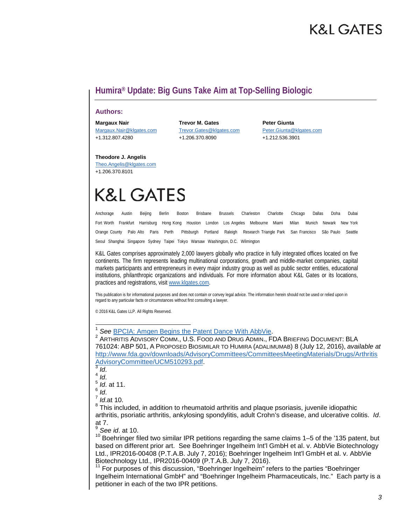### K&L GATES

### **Humira® Update: Big Guns Take Aim at Top-Selling Biologic**

#### **Authors:**

+1.312.807.4280 +1.206.370.8090 +1.212.536.3901

**Margaux Nair Trevor M. Gates Peter Giunta**

[Margaux.Nair@klgates.com](mailto:Margaux.Nair@klgates.com) [Trevor.Gates@klgates.com](mailto:Trevor.Gates@klgates.com) [Peter.Giunta@klgates.com](mailto:Peter.Giunta@klgates.com)

#### **Theodore J. Angelis**

[Theo.Angelis@klgates.com](mailto:theo.angelis@klgates.com) +1.206.370.8101

# **K&L GATES**

Anchorage Austin Beijing Berlin Boston Brisbane Brussels Charleston Charlotte Chicago Dallas Doha Dubai Fort Worth Frankfurt Harrisburg Hong Kong Houston London Los Angeles Melbourne Miami Milan Munich Newark New York Orange County Palo Alto Paris Perth Pittsburgh Portland Raleigh Research Triangle Park San Francisco São Paulo Seattle Seoul Shanghai Singapore Sydney Taipei Tokyo Warsaw Washington, D.C. Wilmington

K&L Gates comprises approximately 2,000 lawyers globally who practice in fully integrated offices located on five continents. The firm represents leading multinational corporations, growth and middle-market companies, capital markets participants and entrepreneurs in every major industry group as well as public sector entities, educational institutions, philanthropic organizations and individuals. For more information about K&L Gates or its locations, practices and registrations, visit [www.klgates.com.](http://www.klgates.com/)

This publication is for informational purposes and does not contain or convey legal advice. The information herein should not be used or relied upon in regard to any particular facts or circumstances without first consulting a lawyer.

© 2016 K&L Gates LLP. All Rights Reserved.

<sup>1</sup> See <u>BPCIA: Amgen Begins the Patent Dance With AbbVie</u>.<br><sup>2</sup> ARTHRITIS ADVISORY COMM., U.S. FOOD AND DRUG ADMIN., FDA BRIEFING DOCUMENT: BLA 761024: ABP 501, A PROPOSED BIOSIMILAR TO HUMIRA (ADALIMUMAB) 8 (July 12, 2016), *available at* [http://www.fda.gov/downloads/AdvisoryCommittees/CommitteesMeetingMaterials/Drugs/Arthritis](http://www.fda.gov/downloads/AdvisoryCommittees/CommitteesMeetingMaterials/Drugs/ArthritisAdvisoryCommittee/UCM510293.pdf) [AdvisoryCommittee/UCM510293.pdf.](http://www.fda.gov/downloads/AdvisoryCommittees/CommitteesMeetingMaterials/Drugs/ArthritisAdvisoryCommittee/UCM510293.pdf) [3](http://www.fda.gov/downloads/AdvisoryCommittees/CommitteesMeetingMaterials/Drugs/ArthritisAdvisoryCommittee/UCM510293.pdf) *Id*. <sup>4</sup> *Id*. <sup>5</sup> *Id*. at 11.

*Id.*at 10.

<sup>8</sup> This included, in addition to rheumatoid arthritis and plaque psoriasis, juvenile idiopathic arthritis, psoriatic arthritis, ankylosing spondylitis, adult Crohn's disease, and ulcerative colitis. *Id*. at 7.

<sup>9</sup> *See id*. at 10.

<sup>10</sup> Boehringer filed two similar IPR petitions regarding the same claims 1–5 of the '135 patent, but based on different prior art. See Boehringer Ingelheim Int'l GmbH et al. v. AbbVie Biotechnology Ltd., IPR2016-00408 (P.T.A.B. July 7, 2016); Boehringer Ingelheim Int'l GmbH et al. v. AbbVie Biotechnology Ltd., IPR2016-00409 (P.T.A.B. July 7, 2016).<br><sup>11</sup> For purposes of this discussion, "Boehringer Ingelheim" refers to the parties "Boehringer

Ingelheim International GmbH" and "Boehringer Ingelheim Pharmaceuticals, Inc." Each party is a petitioner in each of the two IPR petitions.